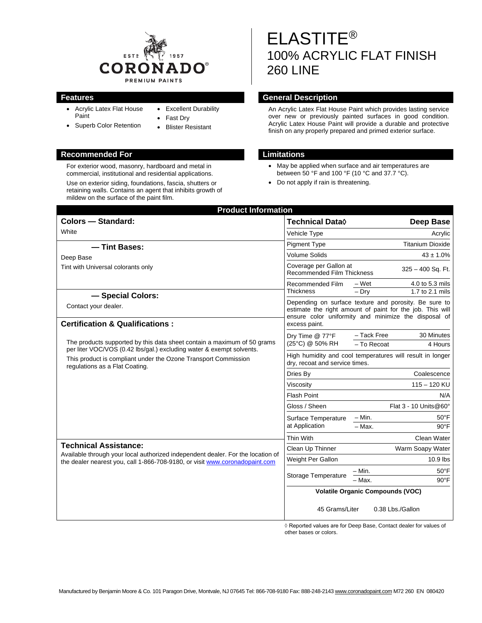

• Excellent Durability

• Fast Dry • Blister Resistant

- Acrylic Latex Flat House Paint
- Superb Color Retention

# **Recommended For Limitations**

For exterior wood, masonry, hardboard and metal in commercial, institutional and residential applications.

Use on exterior siding, foundations, fascia, shutters or retaining walls. Contains an agent that inhibits growth of mildew on the surface of the paint film.

# ELASTITE® 100% ACRYLIC FLAT FINISH 260 LINE

### **Features General Description**

An Acrylic Latex Flat House Paint which provides lasting service over new or previously painted surfaces in good condition. Acrylic Latex House Paint will provide a durable and protective finish on any properly prepared and primed exterior surface.

- May be applied when surface and air temperatures are between 50 °F and 100 °F (10 °C and 37.7 °C).
- Do not apply if rain is threatening.

| <b>Product Information</b>                                                                                                                                                                                                                                                                         |                                                                                                                                                                                             |                            |
|----------------------------------------------------------------------------------------------------------------------------------------------------------------------------------------------------------------------------------------------------------------------------------------------------|---------------------------------------------------------------------------------------------------------------------------------------------------------------------------------------------|----------------------------|
| <b>Colors - Standard:</b>                                                                                                                                                                                                                                                                          | Technical Data $\Diamond$                                                                                                                                                                   | <b>Deep Base</b>           |
| White                                                                                                                                                                                                                                                                                              | Vehicle Type                                                                                                                                                                                | Acrylic                    |
| - Tint Bases:                                                                                                                                                                                                                                                                                      | <b>Pigment Type</b>                                                                                                                                                                         | <b>Titanium Dioxide</b>    |
| Deep Base                                                                                                                                                                                                                                                                                          | <b>Volume Solids</b>                                                                                                                                                                        | $43 \pm 1.0\%$             |
| Tint with Universal colorants only                                                                                                                                                                                                                                                                 | Coverage per Gallon at<br><b>Recommended Film Thickness</b>                                                                                                                                 | 325 - 400 Sq. Ft.          |
|                                                                                                                                                                                                                                                                                                    | <b>Recommended Film</b>                                                                                                                                                                     | $-Wet$<br>4.0 to 5.3 mils  |
| - Special Colors:                                                                                                                                                                                                                                                                                  | <b>Thickness</b>                                                                                                                                                                            | $-$ Dry<br>1.7 to 2.1 mils |
| Contact your dealer.                                                                                                                                                                                                                                                                               | Depending on surface texture and porosity. Be sure to<br>estimate the right amount of paint for the job. This will<br>ensure color uniformity and minimize the disposal of<br>excess paint. |                            |
| <b>Certification &amp; Qualifications:</b>                                                                                                                                                                                                                                                         |                                                                                                                                                                                             |                            |
|                                                                                                                                                                                                                                                                                                    | Dry Time @ 77°F<br>(25°C) @ 50% RH                                                                                                                                                          | 30 Minutes<br>- Tack Free  |
| The products supported by this data sheet contain a maximum of 50 grams<br>per liter VOC/VOS (0.42 lbs/gal.) excluding water & exempt solvents.                                                                                                                                                    |                                                                                                                                                                                             | - To Recoat<br>4 Hours     |
| This product is compliant under the Ozone Transport Commission<br>regulations as a Flat Coating.<br><b>Technical Assistance:</b><br>Available through your local authorized independent dealer. For the location of<br>the dealer nearest you, call 1-866-708-9180, or visit www.coronadopaint.com | High humidity and cool temperatures will result in longer<br>dry, recoat and service times.                                                                                                 |                            |
|                                                                                                                                                                                                                                                                                                    | Dries By                                                                                                                                                                                    | Coalescence                |
|                                                                                                                                                                                                                                                                                                    | Viscosity                                                                                                                                                                                   | $115 - 120$ KU             |
|                                                                                                                                                                                                                                                                                                    | <b>Flash Point</b>                                                                                                                                                                          | N/A                        |
|                                                                                                                                                                                                                                                                                                    | Gloss / Sheen                                                                                                                                                                               | Flat 3 - 10 Units@60°      |
|                                                                                                                                                                                                                                                                                                    | Surface Temperature<br>at Application                                                                                                                                                       | – Min.<br>$50^{\circ}$ F   |
|                                                                                                                                                                                                                                                                                                    |                                                                                                                                                                                             | $90^{\circ}$ F<br>$-$ Max. |
|                                                                                                                                                                                                                                                                                                    | Thin With                                                                                                                                                                                   | Clean Water                |
|                                                                                                                                                                                                                                                                                                    | Clean Up Thinner                                                                                                                                                                            | Warm Soapy Water           |
|                                                                                                                                                                                                                                                                                                    | Weight Per Gallon                                                                                                                                                                           | 10.9 lbs                   |
|                                                                                                                                                                                                                                                                                                    | Storage Temperature                                                                                                                                                                         | $50^{\circ}$ F<br>– Min.   |
|                                                                                                                                                                                                                                                                                                    |                                                                                                                                                                                             | - Max.<br>$90^{\circ}$ F   |
|                                                                                                                                                                                                                                                                                                    | <b>Volatile Organic Compounds (VOC)</b>                                                                                                                                                     |                            |
|                                                                                                                                                                                                                                                                                                    | 45 Grams/Liter                                                                                                                                                                              | 0.38 Lbs./Gallon           |

◊ Reported values are for Deep Base, Contact dealer for values of other bases or colors.